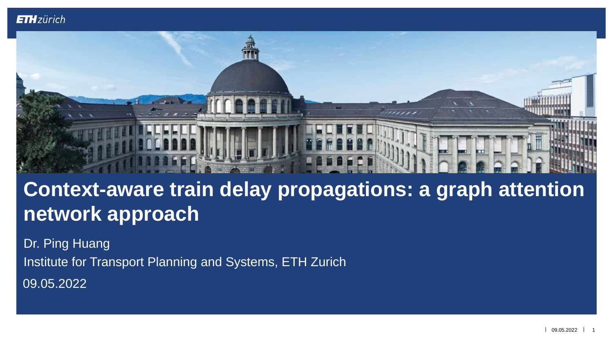

# **Context-aware train delay propagations: a graph attention network approach**

Dr. Ping Huang

Institute for Transport Planning and Systems, ETH Zurich

09.05.2022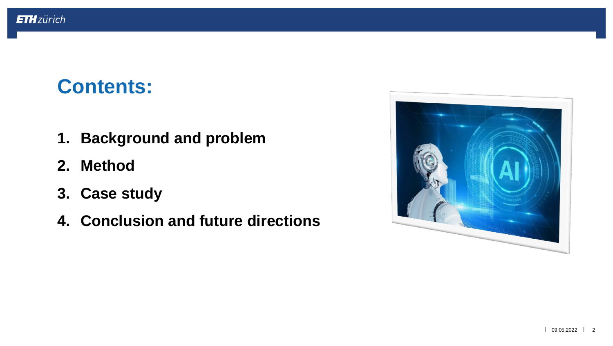# **Contents:**

- **1. Background and problem**
- **2. Method**
- **3. Case study**
- **4. Conclusion and future directions**

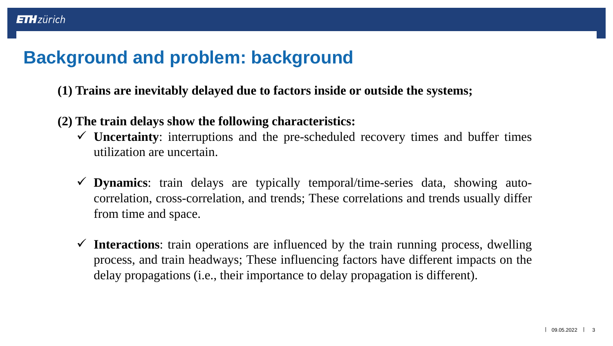# **Background and problem: background**

**ETH**zürich

- **(1) Trains are inevitably delayed due to factors inside or outside the systems;**
- **(2) The train delays show the following characteristics:**
	- ✓ **Uncertainty**: interruptions and the pre-scheduled recovery times and buffer times utilization are uncertain.
	- ✓ **Dynamics**: train delays are typically temporal/time-series data, showing autocorrelation, cross-correlation, and trends; These correlations and trends usually differ from time and space.
	- ✓ **Interactions**: train operations are influenced by the train running process, dwelling process, and train headways; These influencing factors have different impacts on the delay propagations (i.e., their importance to delay propagation is different).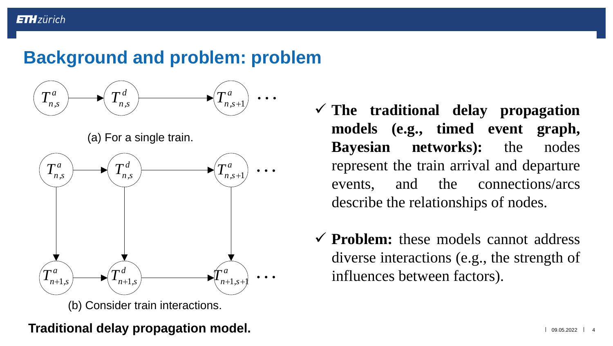### **Background and problem: problem**



(a) For a single train.



- ✓ **The traditional delay propagation models (e.g., timed event graph, Bayesian networks):** the nodes represent the train arrival and departure events, and the connections/arcs describe the relationships of nodes.
- ✓ **Problem:** these models cannot address diverse interactions (e.g., the strength of influences between factors).

### **Traditional delay propagation model.**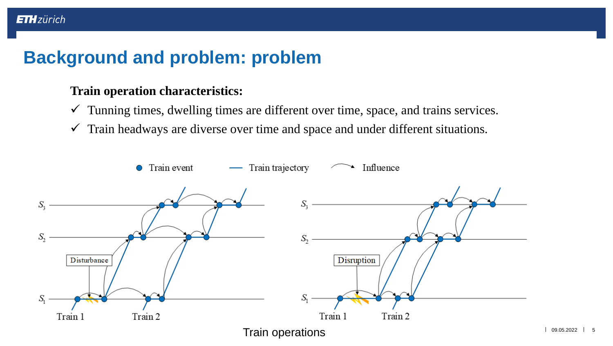# **Background and problem: problem**

### **Train operation characteristics:**

**ETH**zürich

- $\checkmark$  Tunning times, dwelling times are different over time, space, and trains services.
- $\checkmark$  Train headways are diverse over time and space and under different situations.

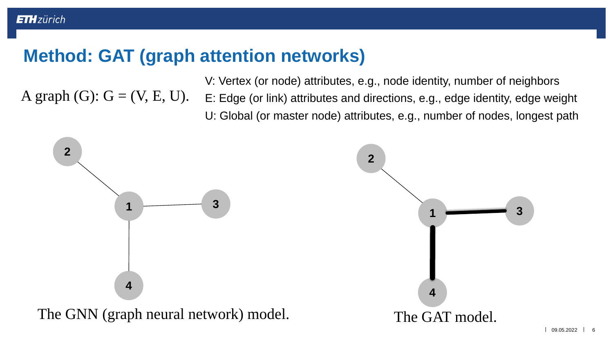# **Method: GAT (graph attention networks)**

A graph  $(G)$ :  $G = (V, E, U)$ . E: Edge (or link) attributes and directions, e.g., edge identity, edge weight V: Vertex (or node) attributes, e.g., node identity, number of neighbors U: Global (or master node) attributes, e.g., number of nodes, longest path

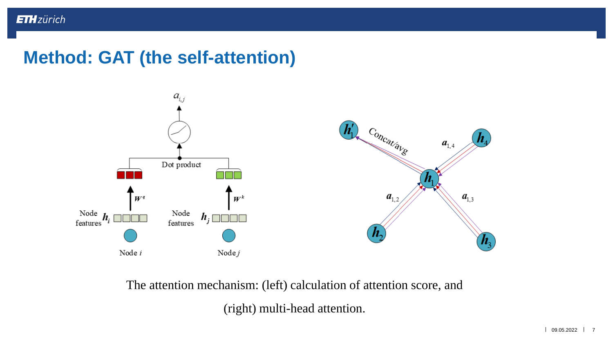### **Method: GAT (the self-attention)**



The attention mechanism: (left) calculation of attention score, and (right) multi-head attention.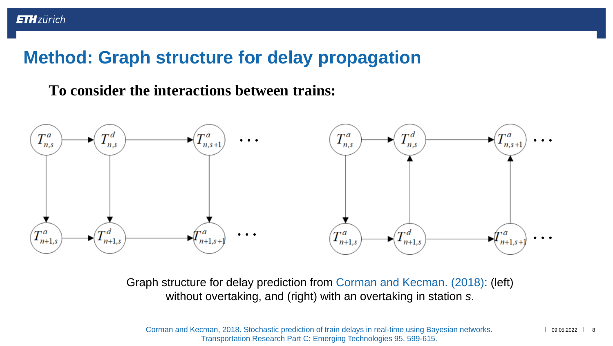# **Method: Graph structure for delay propagation**

### **To consider the interactions between trains:**



Graph structure for delay prediction from Corman and Kecman. (2018): (left) without overtaking, and (right) with an overtaking in station *s*.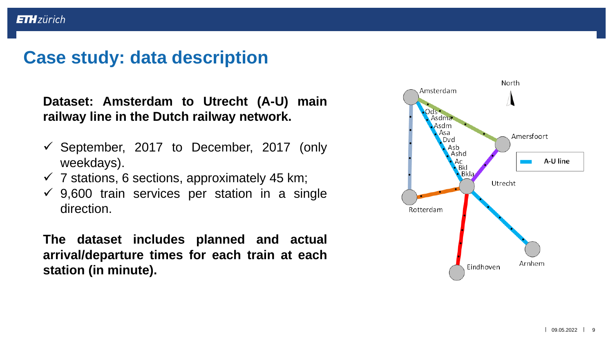### **Case study: data description**

**Dataset: Amsterdam to Utrecht (A-U) main railway line in the Dutch railway network.**

- $\checkmark$  September, 2017 to December, 2017 (only weekdays).
- $\checkmark$  7 stations, 6 sections, approximately 45 km;
- $\checkmark$  9,600 train services per station in a single direction.

**The dataset includes planned and actual arrival/departure times for each train at each station (in minute).**

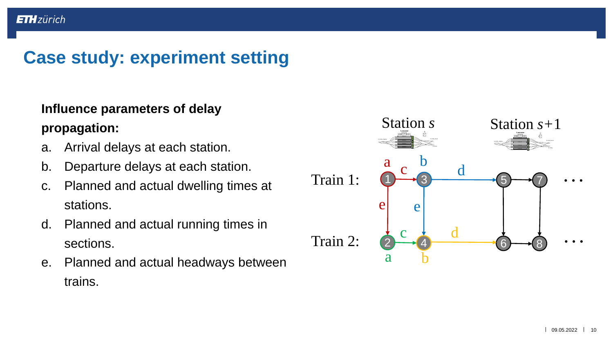### **Case study: experiment setting**

### **Influence parameters of delay propagation:**

- a. Arrival delays at each station.
- b. Departure delays at each station.
- c. Planned and actual dwelling times at stations.
- d. Planned and actual running times in sections.
- e. Planned and actual headways between trains.

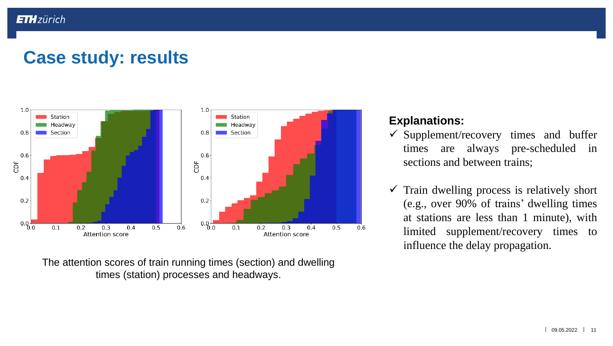# **Case study: results**



The attention scores of train running times (section) and dwelling times (station) processes and headways.

#### **Explanations:**

- $\checkmark$  Supplement/recovery times and buffer times are always pre-scheduled in sections and between trains;
- $\checkmark$  Train dwelling process is relatively short (e.g., over 90% of trains' dwelling times at stations are less than 1 minute), with limited supplement/recovery times to influence the delay propagation.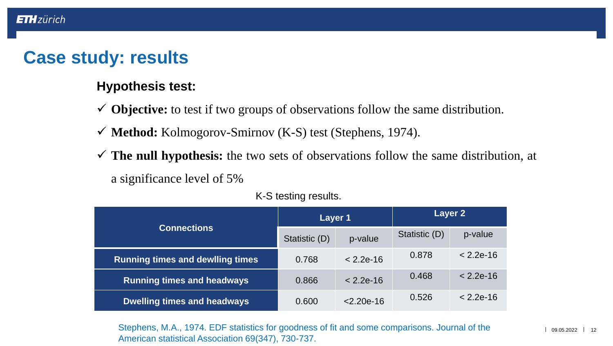### **Case study: results**

#### **Hypothesis test:**

- ✓ **Objective:** to test if two groups of observations follow the same distribution.
- ✓ **Method:** Kolmogorov-Smirnov (K-S) test (Stephens, 1974).
- ✓ **The null hypothesis:** the two sets of observations follow the same distribution, at a significance level of 5%

| <b>Connections</b>                      | Layer 1       |              | Layer 2       |             |
|-----------------------------------------|---------------|--------------|---------------|-------------|
|                                         | Statistic (D) | p-value      | Statistic (D) | p-value     |
| <b>Running times and dewlling times</b> | 0.768         | $< 2.2e-16$  | 0.878         | $< 2.2e-16$ |
| <b>Running times and headways</b>       | 0.866         | $< 2.2e-16$  | 0.468         | $< 2.2e-16$ |
| <b>Dwelling times and headways</b>      | 0.600         | $< 2.20e-16$ | 0.526         | $< 2.2e-16$ |

K-S testing results.

Stephens, M.A., 1974. EDF statistics for goodness of fit and some comparisons. Journal of the American statistical Association 69(347), 730-737.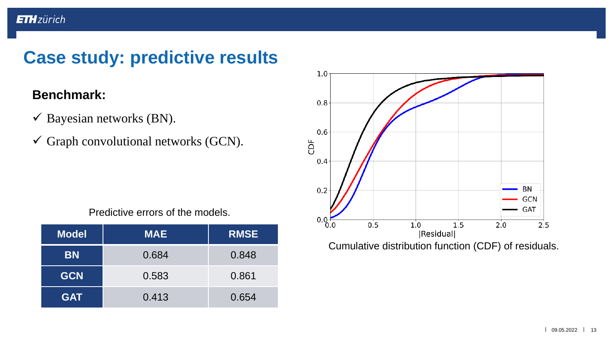# **Case study: predictive results**

### **Benchmark:**

- $\checkmark$  Bayesian networks (BN).
- $\checkmark$  Graph convolutional networks (GCN).



Cumulative distribution function (CDF) of residuals.

Predictive errors of the models.

| <b>Model</b> | <b>MAE</b> | <b>RMSE</b> |
|--------------|------------|-------------|
| <b>BN</b>    | 0.684      | 0.848       |
| <b>GCN</b>   | 0.583      | 0.861       |
| <b>GAT</b>   | 0.413      | 0.654       |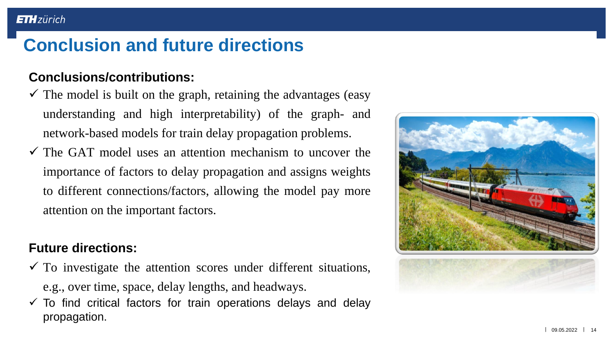# **Conclusion and future directions**

### **Conclusions/contributions:**

- $\checkmark$  The model is built on the graph, retaining the advantages (easy understanding and high interpretability) of the graph- and network-based models for train delay propagation problems.
- $\checkmark$  The GAT model uses an attention mechanism to uncover the importance of factors to delay propagation and assigns weights to different connections/factors, allowing the model pay more attention on the important factors.

### **Future directions:**

- $\checkmark$  To investigate the attention scores under different situations, e.g., over time, space, delay lengths, and headways.
- $\checkmark$  To find critical factors for train operations delays and delay propagation.